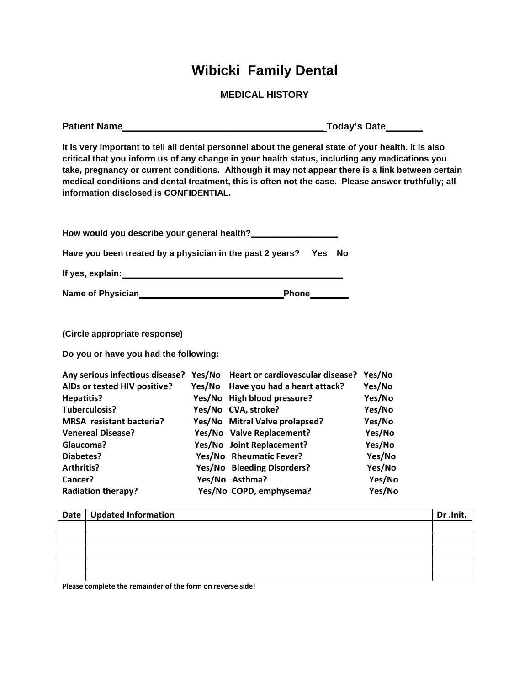## **Wibicki Family Dental**

**MEDICAL HISTORY**

| Patient Name                                                                                                                                                                                                      |                                                                                                                                                                                                                                                                                                                                                                                                                   | Today's Date_______                                                                              |  |  |
|-------------------------------------------------------------------------------------------------------------------------------------------------------------------------------------------------------------------|-------------------------------------------------------------------------------------------------------------------------------------------------------------------------------------------------------------------------------------------------------------------------------------------------------------------------------------------------------------------------------------------------------------------|--------------------------------------------------------------------------------------------------|--|--|
| information disclosed is CONFIDENTIAL.                                                                                                                                                                            | It is very important to tell all dental personnel about the general state of your health. It is also<br>critical that you inform us of any change in your health status, including any medications you<br>take, pregnancy or current conditions. Although it may not appear there is a link between certain<br>medical conditions and dental treatment, this is often not the case. Please answer truthfully; all |                                                                                                  |  |  |
|                                                                                                                                                                                                                   | How would you describe your general health?________________                                                                                                                                                                                                                                                                                                                                                       |                                                                                                  |  |  |
|                                                                                                                                                                                                                   | Have you been treated by a physician in the past 2 years? Yes No                                                                                                                                                                                                                                                                                                                                                  |                                                                                                  |  |  |
|                                                                                                                                                                                                                   | If yes, explain: Marian Marian Marian Marian Marian Marian Marian Marian Marian Marian Marian Marian Marian Ma                                                                                                                                                                                                                                                                                                    |                                                                                                  |  |  |
|                                                                                                                                                                                                                   |                                                                                                                                                                                                                                                                                                                                                                                                                   |                                                                                                  |  |  |
| (Circle appropriate response)                                                                                                                                                                                     |                                                                                                                                                                                                                                                                                                                                                                                                                   |                                                                                                  |  |  |
| Do you or have you had the following:                                                                                                                                                                             |                                                                                                                                                                                                                                                                                                                                                                                                                   |                                                                                                  |  |  |
| AIDs or tested HIV positive?<br><b>Hepatitis?</b><br>Tuberculosis?<br><b>MRSA</b> resistant bacteria?<br><b>Venereal Disease?</b><br>Glaucoma?<br>Diabetes?<br>Arthritis?<br>Cancer?<br><b>Radiation therapy?</b> | Any serious infectious disease? Yes/No Heart or cardiovascular disease? Yes/No<br>Yes/No Have you had a heart attack?<br>Yes/No High blood pressure?<br>Yes/No CVA, stroke?<br>Yes/No Mitral Valve prolapsed?<br>Yes/No Valve Replacement?<br>Yes/No Joint Replacement?<br>Yes/No Rheumatic Fever?<br>Yes/No Bleeding Disorders?<br>Yes/No Asthma?<br>Yes/No COPD, emphysema?                                     | Yes/No<br>Yes/No<br>Yes/No<br>Yes/No<br>Yes/No<br>Yes/No<br>Yes/No<br>Yes/No<br>Yes/No<br>Yes/No |  |  |
| <b>Updated Information</b><br>Date                                                                                                                                                                                |                                                                                                                                                                                                                                                                                                                                                                                                                   | Dr .Init.                                                                                        |  |  |
|                                                                                                                                                                                                                   |                                                                                                                                                                                                                                                                                                                                                                                                                   |                                                                                                  |  |  |

**Please complete the remainder of the form on reverse side!**